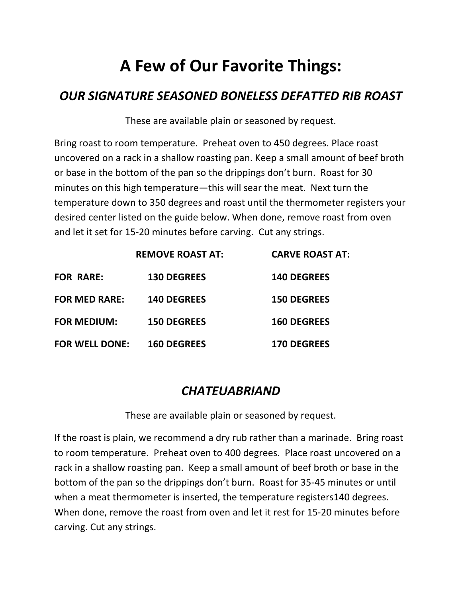# **A Few of Our Favorite Things:**

### *OUR SIGNATURE SEASONED BONELESS DEFATTED RIB ROAST*

These are available plain or seasoned by request.

Bring roast to room temperature. Preheat oven to 450 degrees. Place roast uncovered on a rack in a shallow roasting pan. Keep a small amount of beef broth or base in the bottom of the pan so the drippings don't burn. Roast for 30 minutes on this high temperature—this will sear the meat. Next turn the temperature down to 350 degrees and roast until the thermometer registers your desired center listed on the guide below. When done, remove roast from oven and let it set for 15-20 minutes before carving. Cut any strings.

|                       | <b>REMOVE ROAST AT:</b> | <b>CARVE ROAST AT:</b> |
|-----------------------|-------------------------|------------------------|
| <b>FOR RARE:</b>      | <b>130 DEGREES</b>      | <b>140 DEGREES</b>     |
| <b>FOR MED RARE:</b>  | <b>140 DEGREES</b>      | <b>150 DEGREES</b>     |
| <b>FOR MEDIUM:</b>    | <b>150 DEGREES</b>      | <b>160 DEGREES</b>     |
| <b>FOR WELL DONE:</b> | <b>160 DEGREES</b>      | <b>170 DEGREES</b>     |

### *CHATEUABRIAND*

These are available plain or seasoned by request.

If the roast is plain, we recommend a dry rub rather than a marinade. Bring roast to room temperature. Preheat oven to 400 degrees. Place roast uncovered on a rack in a shallow roasting pan. Keep a small amount of beef broth or base in the bottom of the pan so the drippings don't burn. Roast for 35-45 minutes or until when a meat thermometer is inserted, the temperature registers140 degrees. When done, remove the roast from oven and let it rest for 15-20 minutes before carving. Cut any strings.